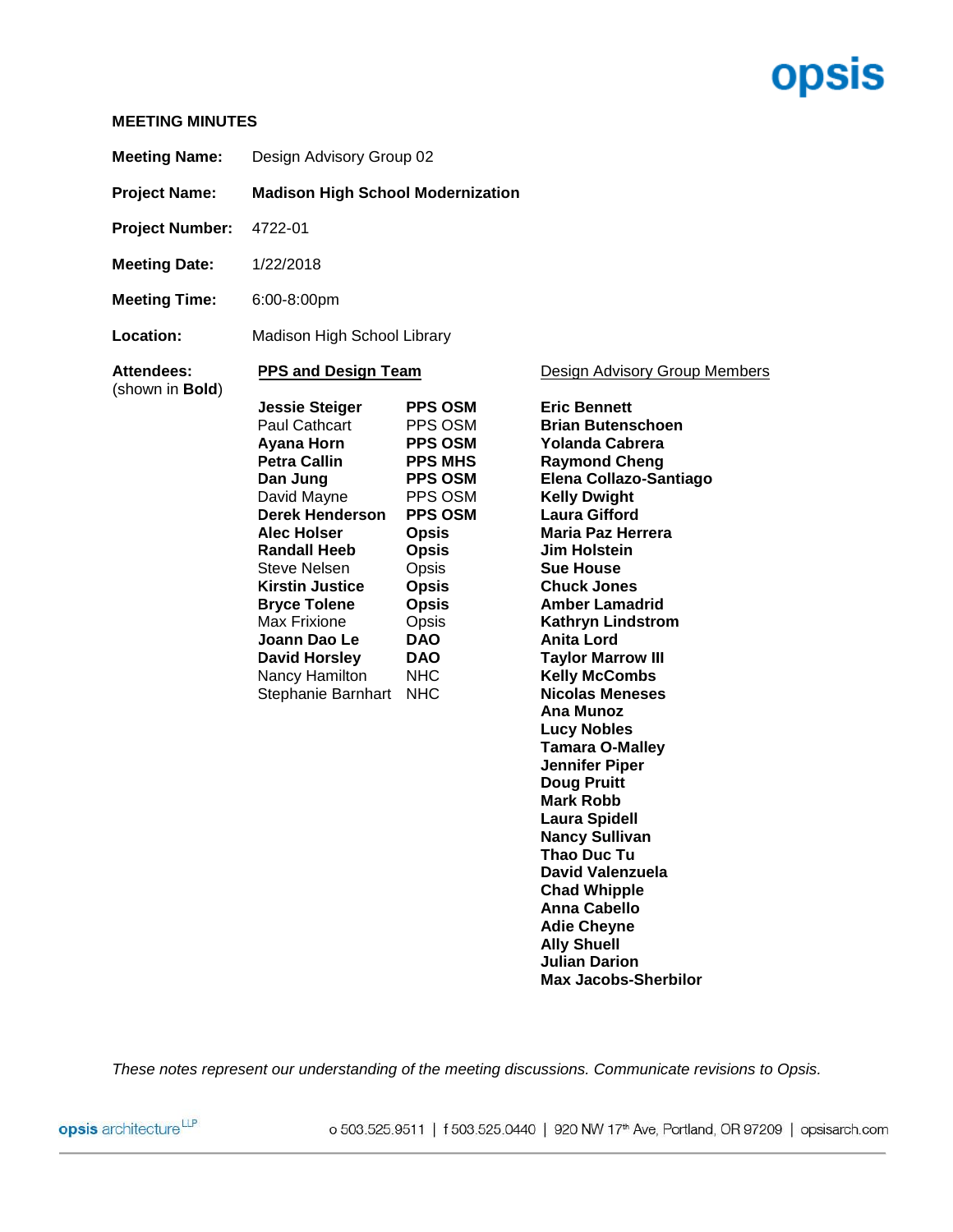# **opsis**

### **MEETING MINUTES**

| <b>Meeting Name:</b>          | Design Advisory Group 02                                                                                                                                                                                                                                                                                                                 |                                                                                                                                                                                                                                          |                                                                                                                                                                                                                                                                                                                                                                                                                                        |  |  |
|-------------------------------|------------------------------------------------------------------------------------------------------------------------------------------------------------------------------------------------------------------------------------------------------------------------------------------------------------------------------------------|------------------------------------------------------------------------------------------------------------------------------------------------------------------------------------------------------------------------------------------|----------------------------------------------------------------------------------------------------------------------------------------------------------------------------------------------------------------------------------------------------------------------------------------------------------------------------------------------------------------------------------------------------------------------------------------|--|--|
| <b>Project Name:</b>          | <b>Madison High School Modernization</b>                                                                                                                                                                                                                                                                                                 |                                                                                                                                                                                                                                          |                                                                                                                                                                                                                                                                                                                                                                                                                                        |  |  |
| <b>Project Number:</b>        | 4722-01                                                                                                                                                                                                                                                                                                                                  |                                                                                                                                                                                                                                          |                                                                                                                                                                                                                                                                                                                                                                                                                                        |  |  |
| <b>Meeting Date:</b>          | 1/22/2018                                                                                                                                                                                                                                                                                                                                |                                                                                                                                                                                                                                          |                                                                                                                                                                                                                                                                                                                                                                                                                                        |  |  |
| <b>Meeting Time:</b>          | 6:00-8:00pm                                                                                                                                                                                                                                                                                                                              |                                                                                                                                                                                                                                          |                                                                                                                                                                                                                                                                                                                                                                                                                                        |  |  |
| Location:                     | Madison High School Library                                                                                                                                                                                                                                                                                                              |                                                                                                                                                                                                                                          |                                                                                                                                                                                                                                                                                                                                                                                                                                        |  |  |
| Attendees:<br>(shown in Bold) | <b>PPS and Design Team</b><br><b>Jessie Steiger</b><br>Paul Cathcart<br>Ayana Horn<br>Petra Callin<br>Dan Jung<br>David Mayne<br><b>Derek Henderson</b><br>Alec Holser<br><b>Randall Heeb</b><br>Steve Nelsen<br><b>Kirstin Justice</b><br><b>Bryce Tolene</b><br>Max Frixione<br>Joann Dao Le<br><b>David Horsley</b><br>Nancy Hamilton | <b>PPS OSM</b><br>PPS OSM<br><b>PPS OSM</b><br><b>PPS MHS</b><br><b>PPS OSM</b><br>PPS OSM<br><b>PPS OSM</b><br><b>Opsis</b><br><b>Opsis</b><br>Opsis<br><b>Opsis</b><br><b>Opsis</b><br>Opsis<br><b>DAO</b><br><b>DAO</b><br><b>NHC</b> | Design Advisory Group Members<br><b>Eric Bennett</b><br><b>Brian Butenschoen</b><br><b>Yolanda Cabrera</b><br><b>Raymond Cheng</b><br>Elena Collazo-Santiago<br><b>Kelly Dwight</b><br><b>Laura Gifford</b><br><b>Maria Paz Herrera</b><br><b>Jim Holstein</b><br><b>Sue House</b><br><b>Chuck Jones</b><br><b>Amber Lamadrid</b><br><b>Kathryn Lindstrom</b><br><b>Anita Lord</b><br><b>Taylor Marrow III</b><br><b>Kelly McCombs</b> |  |  |
|                               | Stephanie Barnhart                                                                                                                                                                                                                                                                                                                       | <b>NHC</b>                                                                                                                                                                                                                               | <b>Nicolas Meneses</b><br>Ana Munoz<br>Lucy Nobles                                                                                                                                                                                                                                                                                                                                                                                     |  |  |

**Brian Butenschoen** iago **Lucy Nobles Tamara O-Malley Jennifer Piper Doug Pruitt Mark Robb Laura Spidell Nancy Sullivan Thao Duc Tu David Valenzuela Chad Whipple Anna Cabello Adie Cheyne Ally Shuell Julian Darion Max Jacobs-Sherbilor**

*These notes represent our understanding of the meeting discussions. Communicate revisions to Opsis.*

opsis architecture<sup>LLP</sup>

o 503.525.9511 | f 503.525.0440 | 920 NW 17<sup>th</sup> Ave, Portland, OR 97209 | opsisarch.com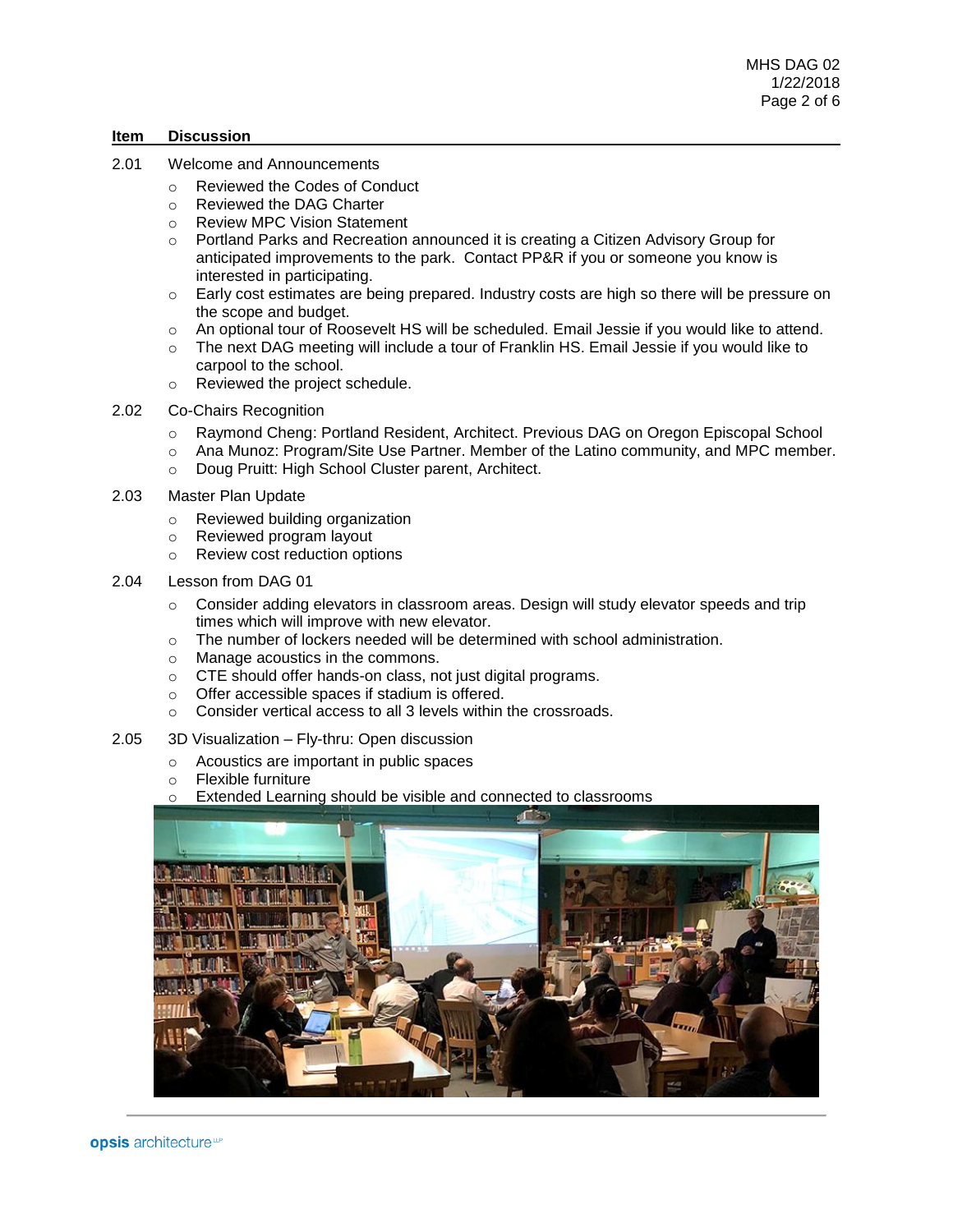#### **Item Discussion**

- 2.01 Welcome and Announcements
	- o Reviewed the Codes of Conduct
	- o Reviewed the DAG Charter
	- o Review MPC Vision Statement
	- o Portland Parks and Recreation announced it is creating a Citizen Advisory Group for anticipated improvements to the park. Contact PP&R if you or someone you know is interested in participating.
	- o Early cost estimates are being prepared. Industry costs are high so there will be pressure on the scope and budget.
	- o An optional tour of Roosevelt HS will be scheduled. Email Jessie if you would like to attend.
	- o The next DAG meeting will include a tour of Franklin HS. Email Jessie if you would like to carpool to the school.
	- o Reviewed the project schedule.
- 2.02 Co-Chairs Recognition
	- o Raymond Cheng: Portland Resident, Architect. Previous DAG on Oregon Episcopal School
	- $\circ$  Ana Munoz: Program/Site Use Partner. Member of the Latino community, and MPC member.
	- o Doug Pruitt: High School Cluster parent, Architect.
- 2.03 Master Plan Update
	- o Reviewed building organization
	- o Reviewed program layout
	- o Review cost reduction options
- 2.04 Lesson from DAG 01
	- $\circ$  Consider adding elevators in classroom areas. Design will study elevator speeds and trip times which will improve with new elevator.
	- $\circ$  The number of lockers needed will be determined with school administration.
	- o Manage acoustics in the commons.
	- o CTE should offer hands-on class, not just digital programs.
	- o Offer accessible spaces if stadium is offered.
	- o Consider vertical access to all 3 levels within the crossroads.
- 2.05 3D Visualization Fly-thru: Open discussion
	- o Acoustics are important in public spaces
	- o Flexible furniture
	- o Extended Learning should be visible and connected to classrooms

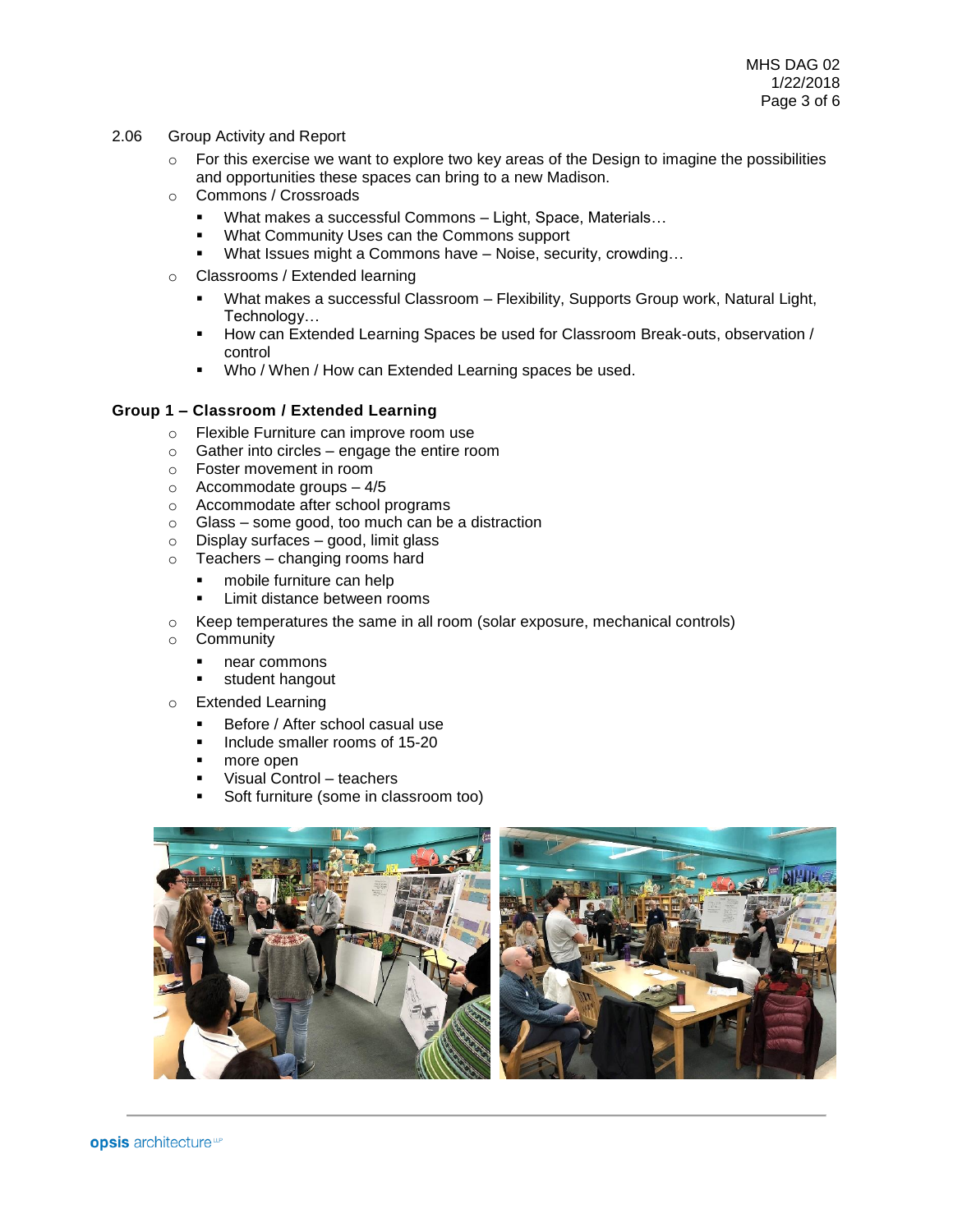- 2.06 Group Activity and Report
	- $\circ$  For this exercise we want to explore two key areas of the Design to imagine the possibilities and opportunities these spaces can bring to a new Madison.
	- o Commons / Crossroads
		- What makes a successful Commons Light, Space, Materials...
		- What Community Uses can the Commons support
		- What Issues might a Commons have Noise, security, crowding...
	- o Classrooms / Extended learning
		- **■** What makes a successful Classroom Flexibility, Supports Group work, Natural Light, Technology…
		- How can Extended Learning Spaces be used for Classroom Break-outs, observation / control
		- Who / When / How can Extended Learning spaces be used.

### **Group 1 – Classroom / Extended Learning**

- o Flexible Furniture can improve room use
- $\circ$  Gather into circles engage the entire room
- o Foster movement in room
- o Accommodate groups 4/5
- o Accommodate after school programs
- o Glass some good, too much can be a distraction
- o Display surfaces good, limit glass
- o Teachers changing rooms hard
	- mobile furniture can help
	- **EXEC** Limit distance between rooms
- o Keep temperatures the same in all room (solar exposure, mechanical controls)
- o Community
	- near commons
	- student hangout
- o Extended Learning
	- Before / After school casual use
	- **·** Include smaller rooms of 15-20
	- more open
	- Visual Control teachers
	- Soft furniture (some in classroom too)

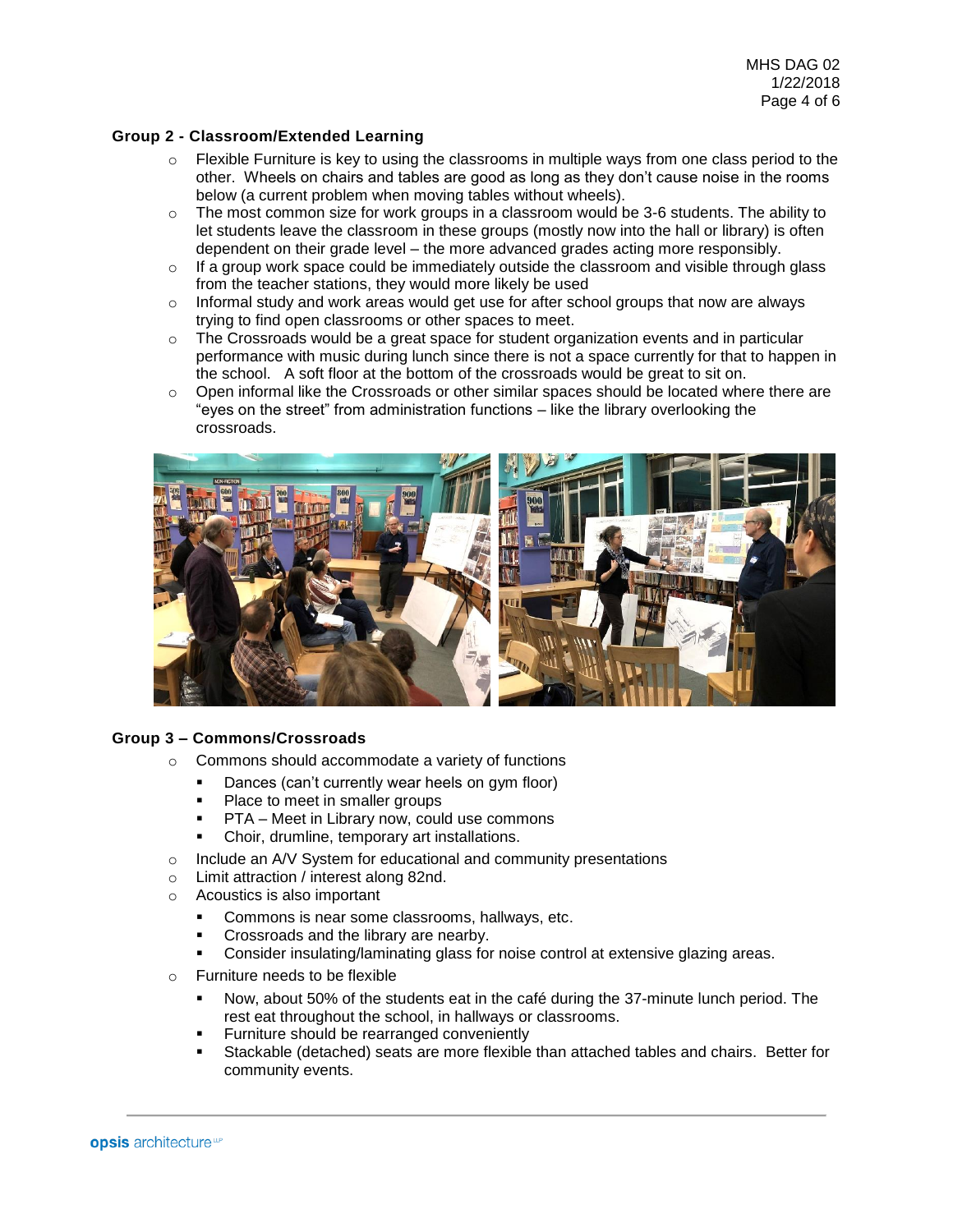## **Group 2 - Classroom/Extended Learning**

- $\circ$  Flexible Furniture is key to using the classrooms in multiple ways from one class period to the other. Wheels on chairs and tables are good as long as they don't cause noise in the rooms below (a current problem when moving tables without wheels).
- $\circ$  The most common size for work groups in a classroom would be 3-6 students. The ability to let students leave the classroom in these groups (mostly now into the hall or library) is often dependent on their grade level – the more advanced grades acting more responsibly.
- $\circ$  If a group work space could be immediately outside the classroom and visible through glass from the teacher stations, they would more likely be used
- o Informal study and work areas would get use for after school groups that now are always trying to find open classrooms or other spaces to meet.
- $\circ$  The Crossroads would be a great space for student organization events and in particular performance with music during lunch since there is not a space currently for that to happen in the school. A soft floor at the bottom of the crossroads would be great to sit on.
- $\circ$  Open informal like the Crossroads or other similar spaces should be located where there are "eyes on the street" from administration functions – like the library overlooking the crossroads.



#### **Group 3 – Commons/Crossroads**

- o Commons should accommodate a variety of functions
	- **•** Dances (can't currently wear heels on gym floor)
	- Place to meet in smaller groups
	- PTA Meet in Library now, could use commons
	- Choir, drumline, temporary art installations.
- o Include an A/V System for educational and community presentations
- o Limit attraction / interest along 82nd.
- o Acoustics is also important
	- Commons is near some classrooms, hallways, etc.
	- Crossroads and the library are nearby.
	- Consider insulating/laminating glass for noise control at extensive glazing areas.
- o Furniture needs to be flexible
	- Now, about 50% of the students eat in the café during the 37-minute lunch period. The rest eat throughout the school, in hallways or classrooms.
	- **EXECUTE:** Furniture should be rearranged conveniently
	- Stackable (detached) seats are more flexible than attached tables and chairs. Better for community events.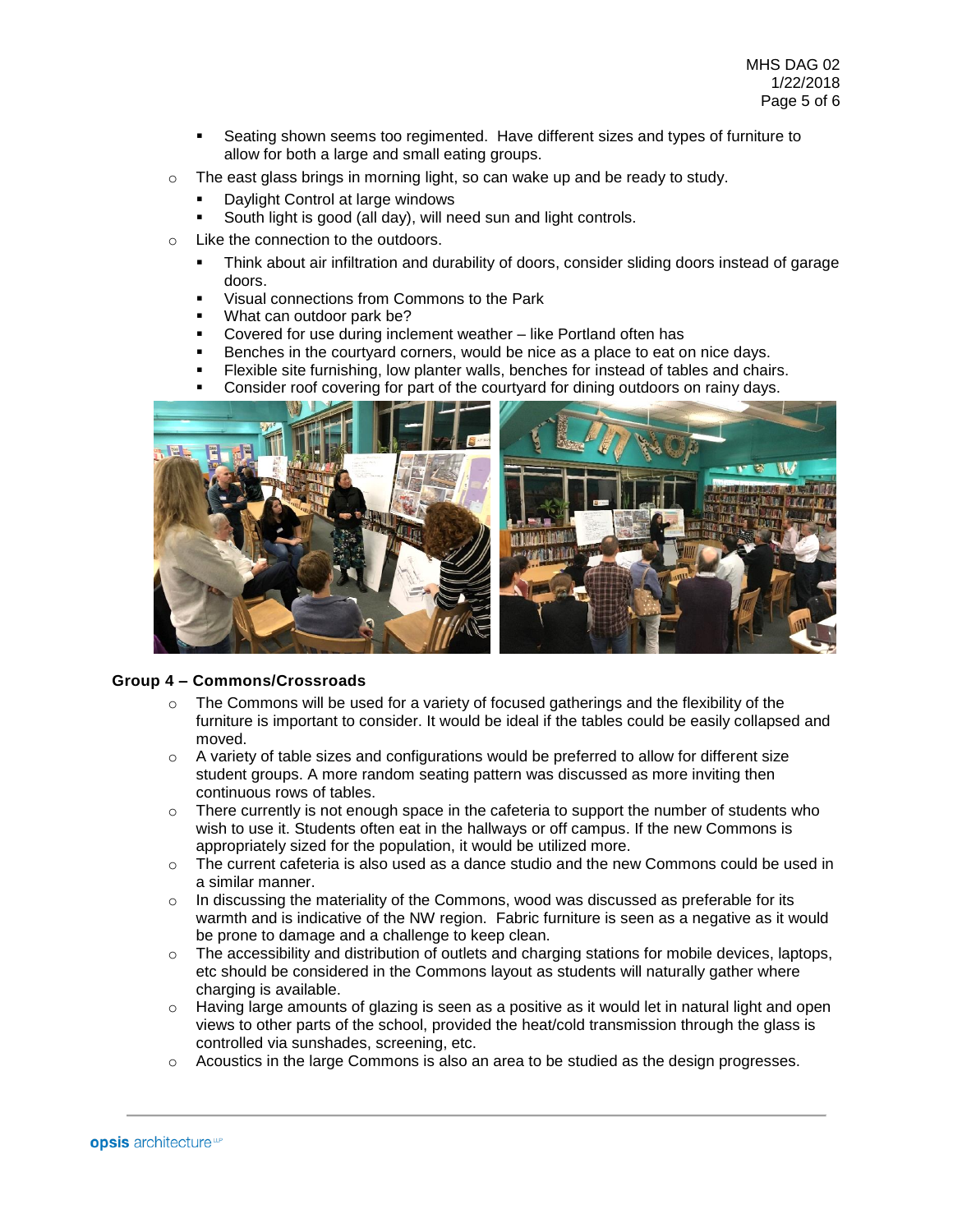- Seating shown seems too regimented. Have different sizes and types of furniture to allow for both a large and small eating groups.
- o The east glass brings in morning light, so can wake up and be ready to study.
	- Daylight Control at large windows
	- South light is good (all day), will need sun and light controls.
- o Like the connection to the outdoors.
	- Think about air infiltration and durability of doors, consider sliding doors instead of garage doors.
	- Visual connections from Commons to the Park
	- What can outdoor park be?
	- Covered for use during inclement weather like Portland often has
	- Benches in the courtyard corners, would be nice as a place to eat on nice days.
	- Flexible site furnishing, low planter walls, benches for instead of tables and chairs.
	- Consider roof covering for part of the courtyard for dining outdoors on rainy days.



### **Group 4 – Commons/Crossroads**

- $\circ$  The Commons will be used for a variety of focused gatherings and the flexibility of the furniture is important to consider. It would be ideal if the tables could be easily collapsed and moved.
- $\circ$  A variety of table sizes and configurations would be preferred to allow for different size student groups. A more random seating pattern was discussed as more inviting then continuous rows of tables.
- $\circ$  There currently is not enough space in the cafeteria to support the number of students who wish to use it. Students often eat in the hallways or off campus. If the new Commons is appropriately sized for the population, it would be utilized more.
- $\circ$  The current cafeteria is also used as a dance studio and the new Commons could be used in a similar manner.
- $\circ$  In discussing the materiality of the Commons, wood was discussed as preferable for its warmth and is indicative of the NW region. Fabric furniture is seen as a negative as it would be prone to damage and a challenge to keep clean.
- $\circ$  The accessibility and distribution of outlets and charging stations for mobile devices, laptops, etc should be considered in the Commons layout as students will naturally gather where charging is available.
- o Having large amounts of glazing is seen as a positive as it would let in natural light and open views to other parts of the school, provided the heat/cold transmission through the glass is controlled via sunshades, screening, etc.
- o Acoustics in the large Commons is also an area to be studied as the design progresses.